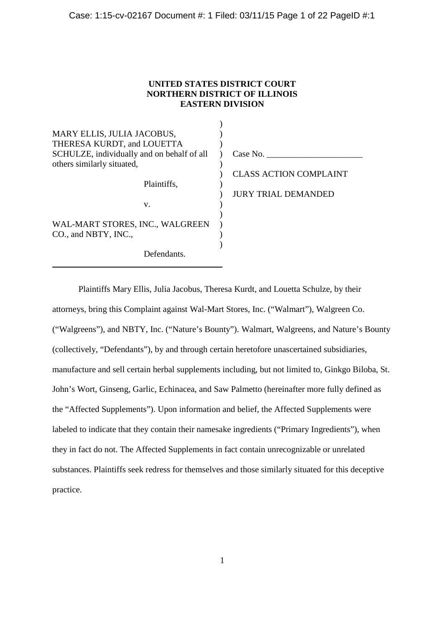## **UNITED STATES DISTRICT COURT NORTHERN DISTRICT OF ILLINOIS EASTERN DIVISION**

| MARY ELLIS, JULIA JACOBUS,<br>THERESA KURDT, and LOUETTA<br>SCHULZE, individually and on behalf of all | Case No.                      |
|--------------------------------------------------------------------------------------------------------|-------------------------------|
| others similarly situated,                                                                             |                               |
|                                                                                                        | <b>CLASS ACTION COMPLAINT</b> |
| Plaintiffs.                                                                                            |                               |
|                                                                                                        | <b>JURY TRIAL DEMANDED</b>    |
| V.                                                                                                     |                               |
|                                                                                                        |                               |
| WAL-MART STORES, INC., WALGREEN                                                                        |                               |
| CO., and NBTY, INC.,                                                                                   |                               |
|                                                                                                        |                               |
| Defendants.                                                                                            |                               |

Plaintiffs Mary Ellis, Julia Jacobus, Theresa Kurdt, and Louetta Schulze, by their attorneys, bring this Complaint against Wal-Mart Stores, Inc. ("Walmart"), Walgreen Co. ("Walgreens"), and NBTY, Inc. ("Nature's Bounty"). Walmart, Walgreens, and Nature's Bounty (collectively, "Defendants"), by and through certain heretofore unascertained subsidiaries, manufacture and sell certain herbal supplements including, but not limited to, Ginkgo Biloba, St. John's Wort, Ginseng, Garlic, Echinacea, and Saw Palmetto (hereinafter more fully defined as the "Affected Supplements"). Upon information and belief, the Affected Supplements were labeled to indicate that they contain their namesake ingredients ("Primary Ingredients"), when they in fact do not. The Affected Supplements in fact contain unrecognizable or unrelated substances. Plaintiffs seek redress for themselves and those similarly situated for this deceptive practice.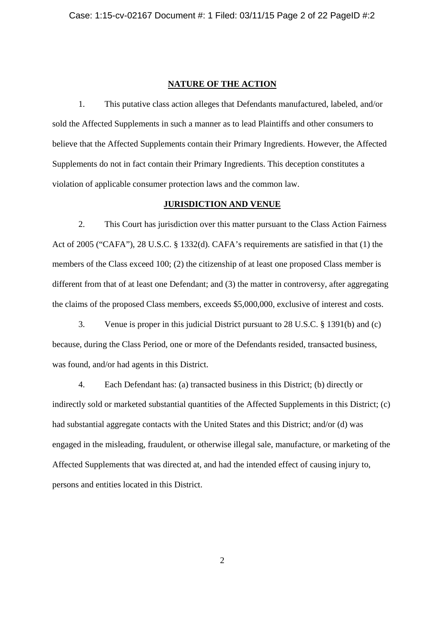#### **NATURE OF THE ACTION**

1. This putative class action alleges that Defendants manufactured, labeled, and/or sold the Affected Supplements in such a manner as to lead Plaintiffs and other consumers to believe that the Affected Supplements contain their Primary Ingredients. However, the Affected Supplements do not in fact contain their Primary Ingredients. This deception constitutes a violation of applicable consumer protection laws and the common law.

#### **JURISDICTION AND VENUE**

2. This Court has jurisdiction over this matter pursuant to the Class Action Fairness Act of 2005 ("CAFA"), 28 U.S.C. § 1332(d). CAFA's requirements are satisfied in that (1) the members of the Class exceed 100; (2) the citizenship of at least one proposed Class member is different from that of at least one Defendant; and (3) the matter in controversy, after aggregating the claims of the proposed Class members, exceeds \$5,000,000, exclusive of interest and costs.

3. Venue is proper in this judicial District pursuant to 28 U.S.C. § 1391(b) and (c) because, during the Class Period, one or more of the Defendants resided, transacted business, was found, and/or had agents in this District.

4. Each Defendant has: (a) transacted business in this District; (b) directly or indirectly sold or marketed substantial quantities of the Affected Supplements in this District; (c) had substantial aggregate contacts with the United States and this District; and/or (d) was engaged in the misleading, fraudulent, or otherwise illegal sale, manufacture, or marketing of the Affected Supplements that was directed at, and had the intended effect of causing injury to, persons and entities located in this District.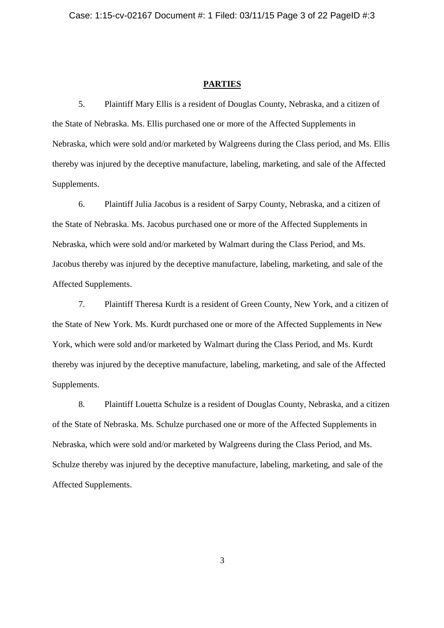#### **PARTIES**

5. Plaintiff Mary Ellis is a resident of Douglas County, Nebraska, and a citizen of the State of Nebraska. Ms. Ellis purchased one or more of the Affected Supplements in Nebraska, which were sold and/or marketed by Walgreens during the Class period, and Ms. Ellis thereby was injured by the deceptive manufacture, labeling, marketing, and sale of the Affected Supplements.

6. Plaintiff Julia Jacobus is a resident of Sarpy County, Nebraska, and a citizen of the State of Nebraska. Ms. Jacobus purchased one or more of the Affected Supplements in Nebraska, which were sold and/or marketed by Walmart during the Class Period, and Ms. Jacobus thereby was injured by the deceptive manufacture, labeling, marketing, and sale of the Affected Supplements.

7. Plaintiff Theresa Kurdt is a resident of Green County, New York, and a citizen of the State of New York. Ms. Kurdt purchased one or more of the Affected Supplements in New York, which were sold and/or marketed by Walmart during the Class Period, and Ms. Kurdt thereby was injured by the deceptive manufacture, labeling, marketing, and sale of the Affected Supplements.

8. Plaintiff Louetta Schulze is a resident of Douglas County, Nebraska, and a citizen of the State of Nebraska. Ms. Schulze purchased one or more of the Affected Supplements in Nebraska, which were sold and/or marketed by Walgreens during the Class Period, and Ms. Schulze thereby was injured by the deceptive manufacture, labeling, marketing, and sale of the Affected Supplements.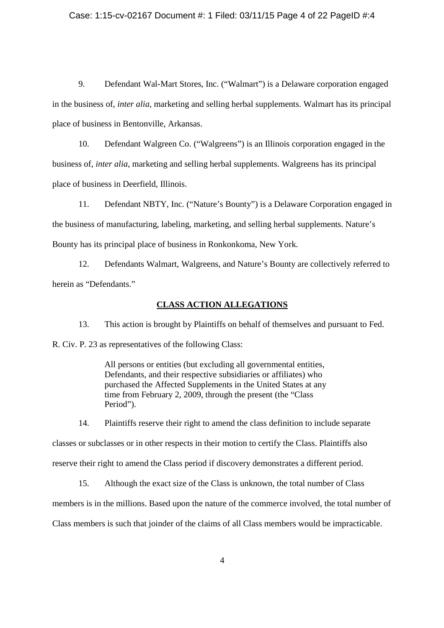#### Case: 1:15-cv-02167 Document #: 1 Filed: 03/11/15 Page 4 of 22 PageID #:4

9. Defendant Wal-Mart Stores, Inc. ("Walmart") is a Delaware corporation engaged in the business of, *inter alia*, marketing and selling herbal supplements. Walmart has its principal place of business in Bentonville, Arkansas.

10. Defendant Walgreen Co. ("Walgreens") is an Illinois corporation engaged in the business of, *inter alia*, marketing and selling herbal supplements. Walgreens has its principal place of business in Deerfield, Illinois.

11. Defendant NBTY, Inc. ("Nature's Bounty") is a Delaware Corporation engaged in the business of manufacturing, labeling, marketing, and selling herbal supplements. Nature's Bounty has its principal place of business in Ronkonkoma, New York.

12. Defendants Walmart, Walgreens, and Nature's Bounty are collectively referred to herein as "Defendants."

#### **CLASS ACTION ALLEGATIONS**

13. This action is brought by Plaintiffs on behalf of themselves and pursuant to Fed. R. Civ. P. 23 as representatives of the following Class:

> All persons or entities (but excluding all governmental entities, Defendants, and their respective subsidiaries or affiliates) who purchased the Affected Supplements in the United States at any time from February 2, 2009, through the present (the "Class Period").

14. Plaintiffs reserve their right to amend the class definition to include separate classes or subclasses or in other respects in their motion to certify the Class. Plaintiffs also reserve their right to amend the Class period if discovery demonstrates a different period.

15. Although the exact size of the Class is unknown, the total number of Class members is in the millions. Based upon the nature of the commerce involved, the total number of Class members is such that joinder of the claims of all Class members would be impracticable.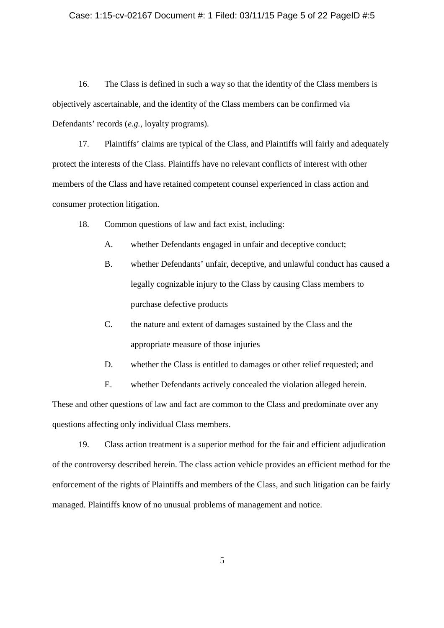## Case: 1:15-cv-02167 Document #: 1 Filed: 03/11/15 Page 5 of 22 PageID #:5

16. The Class is defined in such a way so that the identity of the Class members is objectively ascertainable, and the identity of the Class members can be confirmed via Defendants' records (*e.g.*, loyalty programs).

17. Plaintiffs' claims are typical of the Class, and Plaintiffs will fairly and adequately protect the interests of the Class. Plaintiffs have no relevant conflicts of interest with other members of the Class and have retained competent counsel experienced in class action and consumer protection litigation.

- 18. Common questions of law and fact exist, including:
	- A. whether Defendants engaged in unfair and deceptive conduct;
	- B. whether Defendants' unfair, deceptive, and unlawful conduct has caused a legally cognizable injury to the Class by causing Class members to purchase defective products
	- C. the nature and extent of damages sustained by the Class and the appropriate measure of those injuries
	- D. whether the Class is entitled to damages or other relief requested; and
	- E. whether Defendants actively concealed the violation alleged herein.

These and other questions of law and fact are common to the Class and predominate over any questions affecting only individual Class members.

19. Class action treatment is a superior method for the fair and efficient adjudication of the controversy described herein. The class action vehicle provides an efficient method for the enforcement of the rights of Plaintiffs and members of the Class, and such litigation can be fairly managed. Plaintiffs know of no unusual problems of management and notice.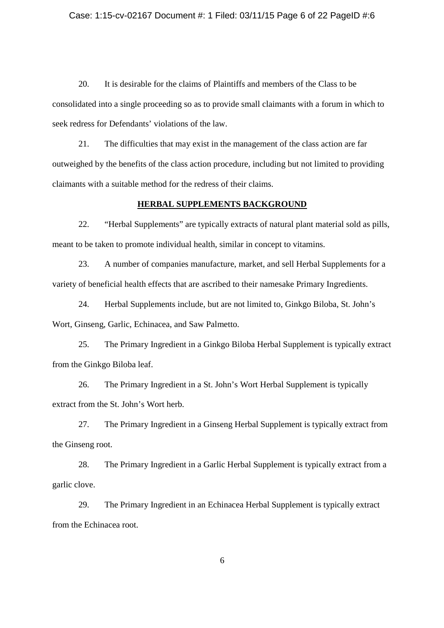#### Case: 1:15-cv-02167 Document #: 1 Filed: 03/11/15 Page 6 of 22 PageID #:6

20. It is desirable for the claims of Plaintiffs and members of the Class to be consolidated into a single proceeding so as to provide small claimants with a forum in which to seek redress for Defendants' violations of the law.

21. The difficulties that may exist in the management of the class action are far outweighed by the benefits of the class action procedure, including but not limited to providing claimants with a suitable method for the redress of their claims.

## **HERBAL SUPPLEMENTS BACKGROUND**

22. "Herbal Supplements" are typically extracts of natural plant material sold as pills, meant to be taken to promote individual health, similar in concept to vitamins.

23. A number of companies manufacture, market, and sell Herbal Supplements for a variety of beneficial health effects that are ascribed to their namesake Primary Ingredients.

24. Herbal Supplements include, but are not limited to, Ginkgo Biloba, St. John's Wort, Ginseng, Garlic, Echinacea, and Saw Palmetto.

25. The Primary Ingredient in a Ginkgo Biloba Herbal Supplement is typically extract from the Ginkgo Biloba leaf.

26. The Primary Ingredient in a St. John's Wort Herbal Supplement is typically extract from the St. John's Wort herb.

27. The Primary Ingredient in a Ginseng Herbal Supplement is typically extract from the Ginseng root.

28. The Primary Ingredient in a Garlic Herbal Supplement is typically extract from a garlic clove.

29. The Primary Ingredient in an Echinacea Herbal Supplement is typically extract from the Echinacea root.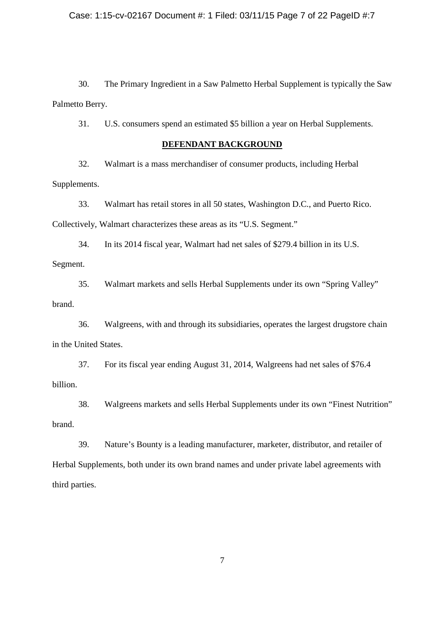30. The Primary Ingredient in a Saw Palmetto Herbal Supplement is typically the Saw Palmetto Berry.

31. U.S. consumers spend an estimated \$5 billion a year on Herbal Supplements.

## **DEFENDANT BACKGROUND**

32. Walmart is a mass merchandiser of consumer products, including Herbal Supplements.

33. Walmart has retail stores in all 50 states, Washington D.C., and Puerto Rico. Collectively, Walmart characterizes these areas as its "U.S. Segment."

34. In its 2014 fiscal year, Walmart had net sales of \$279.4 billion in its U.S.

Segment.

35. Walmart markets and sells Herbal Supplements under its own "Spring Valley" brand.

36. Walgreens, with and through its subsidiaries, operates the largest drugstore chain in the United States.

37. For its fiscal year ending August 31, 2014, Walgreens had net sales of \$76.4 billion.

38. Walgreens markets and sells Herbal Supplements under its own "Finest Nutrition" brand.

39. Nature's Bounty is a leading manufacturer, marketer, distributor, and retailer of Herbal Supplements, both under its own brand names and under private label agreements with third parties.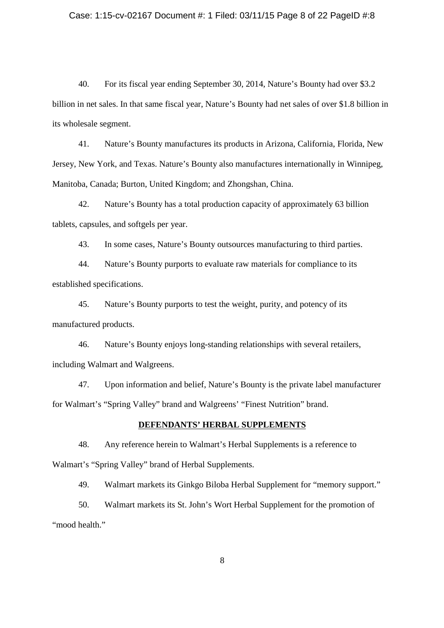## Case: 1:15-cv-02167 Document #: 1 Filed: 03/11/15 Page 8 of 22 PageID #:8

40. For its fiscal year ending September 30, 2014, Nature's Bounty had over \$3.2 billion in net sales. In that same fiscal year, Nature's Bounty had net sales of over \$1.8 billion in its wholesale segment.

41. Nature's Bounty manufactures its products in Arizona, California, Florida, New Jersey, New York, and Texas. Nature's Bounty also manufactures internationally in Winnipeg, Manitoba, Canada; Burton, United Kingdom; and Zhongshan, China.

42. Nature's Bounty has a total production capacity of approximately 63 billion tablets, capsules, and softgels per year.

43. In some cases, Nature's Bounty outsources manufacturing to third parties.

44. Nature's Bounty purports to evaluate raw materials for compliance to its established specifications.

45. Nature's Bounty purports to test the weight, purity, and potency of its manufactured products.

46. Nature's Bounty enjoys long-standing relationships with several retailers, including Walmart and Walgreens.

47. Upon information and belief, Nature's Bounty is the private label manufacturer for Walmart's "Spring Valley" brand and Walgreens' "Finest Nutrition" brand.

#### **DEFENDANTS' HERBAL SUPPLEMENTS**

48. Any reference herein to Walmart's Herbal Supplements is a reference to Walmart's "Spring Valley" brand of Herbal Supplements.

49. Walmart markets its Ginkgo Biloba Herbal Supplement for "memory support."

50. Walmart markets its St. John's Wort Herbal Supplement for the promotion of "mood health."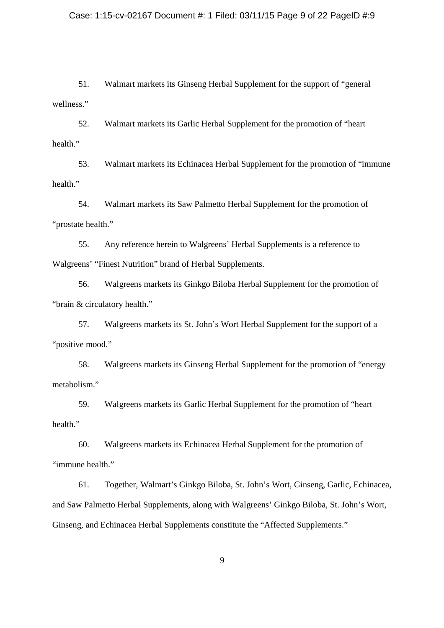## Case: 1:15-cv-02167 Document #: 1 Filed: 03/11/15 Page 9 of 22 PageID #:9

51. Walmart markets its Ginseng Herbal Supplement for the support of "general wellness."

52. Walmart markets its Garlic Herbal Supplement for the promotion of "heart health."

53. Walmart markets its Echinacea Herbal Supplement for the promotion of "immune health."

54. Walmart markets its Saw Palmetto Herbal Supplement for the promotion of "prostate health."

55. Any reference herein to Walgreens' Herbal Supplements is a reference to Walgreens' "Finest Nutrition" brand of Herbal Supplements.

56. Walgreens markets its Ginkgo Biloba Herbal Supplement for the promotion of "brain & circulatory health."

57. Walgreens markets its St. John's Wort Herbal Supplement for the support of a "positive mood."

58. Walgreens markets its Ginseng Herbal Supplement for the promotion of "energy metabolism."

59. Walgreens markets its Garlic Herbal Supplement for the promotion of "heart health."

60. Walgreens markets its Echinacea Herbal Supplement for the promotion of "immune health."

61. Together, Walmart's Ginkgo Biloba, St. John's Wort, Ginseng, Garlic, Echinacea, and Saw Palmetto Herbal Supplements, along with Walgreens' Ginkgo Biloba, St. John's Wort, Ginseng, and Echinacea Herbal Supplements constitute the "Affected Supplements."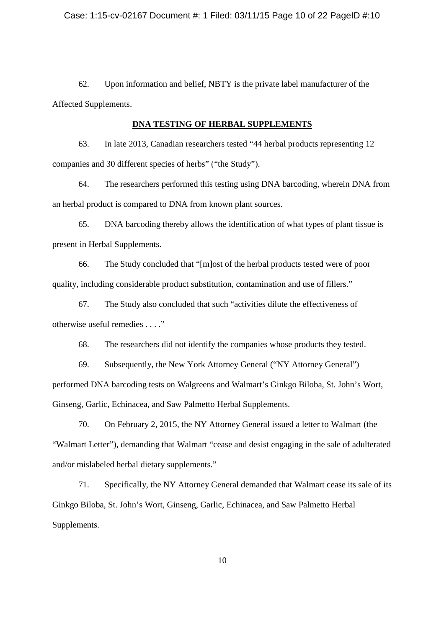62. Upon information and belief, NBTY is the private label manufacturer of the Affected Supplements.

#### **DNA TESTING OF HERBAL SUPPLEMENTS**

63. In late 2013, Canadian researchers tested "44 herbal products representing 12 companies and 30 different species of herbs" ("the Study").

64. The researchers performed this testing using DNA barcoding, wherein DNA from an herbal product is compared to DNA from known plant sources.

65. DNA barcoding thereby allows the identification of what types of plant tissue is present in Herbal Supplements.

66. The Study concluded that "[m]ost of the herbal products tested were of poor quality, including considerable product substitution, contamination and use of fillers."

67. The Study also concluded that such "activities dilute the effectiveness of otherwise useful remedies . . . ."

68. The researchers did not identify the companies whose products they tested.

69. Subsequently, the New York Attorney General ("NY Attorney General") performed DNA barcoding tests on Walgreens and Walmart's Ginkgo Biloba, St. John's Wort, Ginseng, Garlic, Echinacea, and Saw Palmetto Herbal Supplements.

70. On February 2, 2015, the NY Attorney General issued a letter to Walmart (the "Walmart Letter"), demanding that Walmart "cease and desist engaging in the sale of adulterated and/or mislabeled herbal dietary supplements."

71. Specifically, the NY Attorney General demanded that Walmart cease its sale of its Ginkgo Biloba, St. John's Wort, Ginseng, Garlic, Echinacea, and Saw Palmetto Herbal Supplements.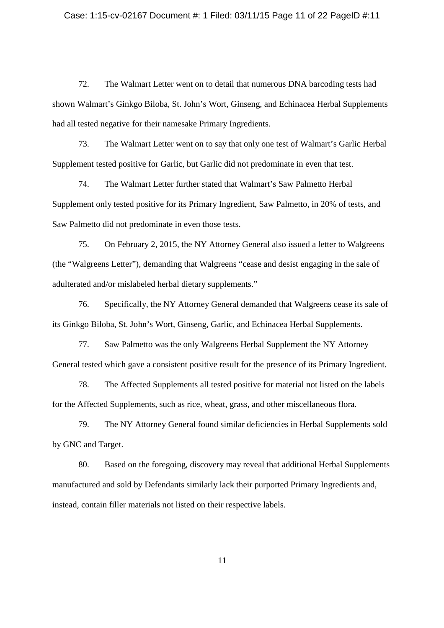#### Case: 1:15-cv-02167 Document #: 1 Filed: 03/11/15 Page 11 of 22 PageID #:11

72. The Walmart Letter went on to detail that numerous DNA barcoding tests had shown Walmart's Ginkgo Biloba, St. John's Wort, Ginseng, and Echinacea Herbal Supplements had all tested negative for their namesake Primary Ingredients.

73. The Walmart Letter went on to say that only one test of Walmart's Garlic Herbal Supplement tested positive for Garlic, but Garlic did not predominate in even that test.

74. The Walmart Letter further stated that Walmart's Saw Palmetto Herbal Supplement only tested positive for its Primary Ingredient, Saw Palmetto, in 20% of tests, and Saw Palmetto did not predominate in even those tests.

75. On February 2, 2015, the NY Attorney General also issued a letter to Walgreens (the "Walgreens Letter"), demanding that Walgreens "cease and desist engaging in the sale of adulterated and/or mislabeled herbal dietary supplements."

76. Specifically, the NY Attorney General demanded that Walgreens cease its sale of its Ginkgo Biloba, St. John's Wort, Ginseng, Garlic, and Echinacea Herbal Supplements.

77. Saw Palmetto was the only Walgreens Herbal Supplement the NY Attorney General tested which gave a consistent positive result for the presence of its Primary Ingredient.

78. The Affected Supplements all tested positive for material not listed on the labels for the Affected Supplements, such as rice, wheat, grass, and other miscellaneous flora.

79. The NY Attorney General found similar deficiencies in Herbal Supplements sold by GNC and Target.

80. Based on the foregoing, discovery may reveal that additional Herbal Supplements manufactured and sold by Defendants similarly lack their purported Primary Ingredients and, instead, contain filler materials not listed on their respective labels.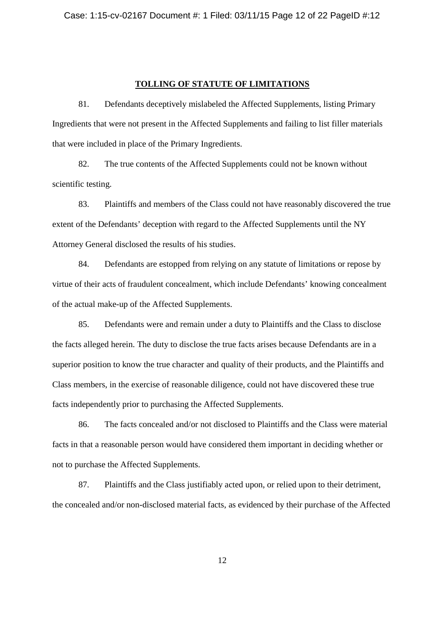#### **TOLLING OF STATUTE OF LIMITATIONS**

81. Defendants deceptively mislabeled the Affected Supplements, listing Primary Ingredients that were not present in the Affected Supplements and failing to list filler materials that were included in place of the Primary Ingredients.

82. The true contents of the Affected Supplements could not be known without scientific testing.

83. Plaintiffs and members of the Class could not have reasonably discovered the true extent of the Defendants' deception with regard to the Affected Supplements until the NY Attorney General disclosed the results of his studies.

84. Defendants are estopped from relying on any statute of limitations or repose by virtue of their acts of fraudulent concealment, which include Defendants' knowing concealment of the actual make-up of the Affected Supplements.

85. Defendants were and remain under a duty to Plaintiffs and the Class to disclose the facts alleged herein. The duty to disclose the true facts arises because Defendants are in a superior position to know the true character and quality of their products, and the Plaintiffs and Class members, in the exercise of reasonable diligence, could not have discovered these true facts independently prior to purchasing the Affected Supplements.

86. The facts concealed and/or not disclosed to Plaintiffs and the Class were material facts in that a reasonable person would have considered them important in deciding whether or not to purchase the Affected Supplements.

87. Plaintiffs and the Class justifiably acted upon, or relied upon to their detriment, the concealed and/or non-disclosed material facts, as evidenced by their purchase of the Affected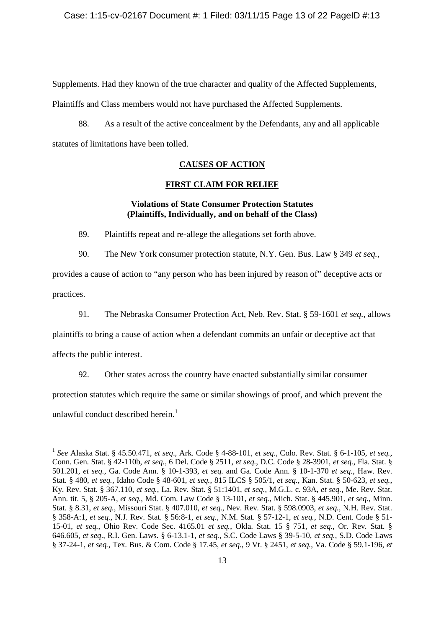Supplements. Had they known of the true character and quality of the Affected Supplements,

Plaintiffs and Class members would not have purchased the Affected Supplements.

88. As a result of the active concealment by the Defendants, any and all applicable statutes of limitations have been tolled.

## **CAUSES OF ACTION**

#### **FIRST CLAIM FOR RELIEF**

## **Violations of State Consumer Protection Statutes (Plaintiffs, Individually, and on behalf of the Class)**

89. Plaintiffs repeat and re-allege the allegations set forth above.

90. The New York consumer protection statute, N.Y. Gen. Bus. Law § 349 *et seq.*,

provides a cause of action to "any person who has been injured by reason of" deceptive acts or practices.

91. The Nebraska Consumer Protection Act, Neb. Rev. Stat. § 59-1601 *et seq.*, allows

plaintiffs to bring a cause of action when a defendant commits an unfair or deceptive act that

affects the public interest.

92. Other states across the country have enacted substantially similar consumer

protection statutes which require the same or similar showings of proof, and which prevent the

unlawful conduct described herein.<sup>1</sup>

<sup>1</sup> *See* Alaska Stat. § 45.50.471, *et seq*., Ark. Code § 4-88-101, *et seq.*, Colo. Rev. Stat. § 6-1-105, *et seq.*, Conn. Gen. Stat. § 42-110b, *et seq.*, 6 Del. Code § 2511, *et seq*., D.C. Code § 28-3901, *et seq.*, Fla. Stat. § 501.201, *et seq.*, Ga. Code Ann. § 10-1-393, *et seq*. and Ga. Code Ann. § 10-1-370 *et seq.*, Haw. Rev. Stat. § 480, *et seq.*, Idaho Code § 48-601, *et seq.*, 815 ILCS § 505/1, *et seq.*, Kan. Stat. § 50-623, *et seq.*, Ky. Rev. Stat. § 367.110, *et seq.*, La. Rev. Stat. § 51:1401, *et seq.*, M.G.L. c. 93A, *et seq.*, Me. Rev. Stat. Ann. tit. 5, § 205-A, *et seq.*, Md. Com. Law Code § 13-101, *et seq.*, Mich. Stat. § 445.901, *et seq.*, Minn. Stat. § 8.31, *et seq.*, Missouri Stat. § 407.010, *et seq.*, Nev. Rev. Stat. § 598.0903, *et seq.*, N.H. Rev. Stat. § 358-A:1, *et seq.*, N.J. Rev. Stat. § 56:8-1, *et seq.*, N.M. Stat. § 57-12-1, *et seq.*, N.D. Cent. Code § 51- 15-01, *et seq.*, Ohio Rev. Code Sec. 4165.01 *et seq.*, Okla. Stat. 15 § 751, *et seq.*, Or. Rev. Stat. § 646.605, *et seq*., R.I. Gen. Laws. § 6-13.1-1, *et seq.*, S.C. Code Laws § 39-5-10, *et seq.*, S.D. Code Laws § 37-24-1, *et seq.*, Tex. Bus. & Com. Code § 17.45, *et seq*., 9 Vt. § 2451, *et seq.*, Va. Code § 59.1-196, *et*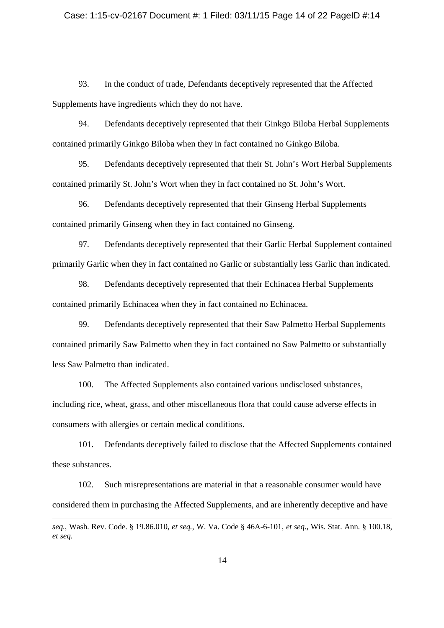## Case: 1:15-cv-02167 Document #: 1 Filed: 03/11/15 Page 14 of 22 PageID #:14

93. In the conduct of trade, Defendants deceptively represented that the Affected Supplements have ingredients which they do not have.

94. Defendants deceptively represented that their Ginkgo Biloba Herbal Supplements contained primarily Ginkgo Biloba when they in fact contained no Ginkgo Biloba.

95. Defendants deceptively represented that their St. John's Wort Herbal Supplements contained primarily St. John's Wort when they in fact contained no St. John's Wort.

96. Defendants deceptively represented that their Ginseng Herbal Supplements contained primarily Ginseng when they in fact contained no Ginseng.

97. Defendants deceptively represented that their Garlic Herbal Supplement contained primarily Garlic when they in fact contained no Garlic or substantially less Garlic than indicated.

98. Defendants deceptively represented that their Echinacea Herbal Supplements contained primarily Echinacea when they in fact contained no Echinacea.

99. Defendants deceptively represented that their Saw Palmetto Herbal Supplements contained primarily Saw Palmetto when they in fact contained no Saw Palmetto or substantially less Saw Palmetto than indicated.

100. The Affected Supplements also contained various undisclosed substances, including rice, wheat, grass, and other miscellaneous flora that could cause adverse effects in consumers with allergies or certain medical conditions.

101. Defendants deceptively failed to disclose that the Affected Supplements contained these substances.

102. Such misrepresentations are material in that a reasonable consumer would have considered them in purchasing the Affected Supplements, and are inherently deceptive and have

*seq.*, Wash. Rev. Code. § 19.86.010, *et seq.*, W. Va. Code § 46A-6-101, *et seq*., Wis. Stat. Ann. § 100.18, *et seq*.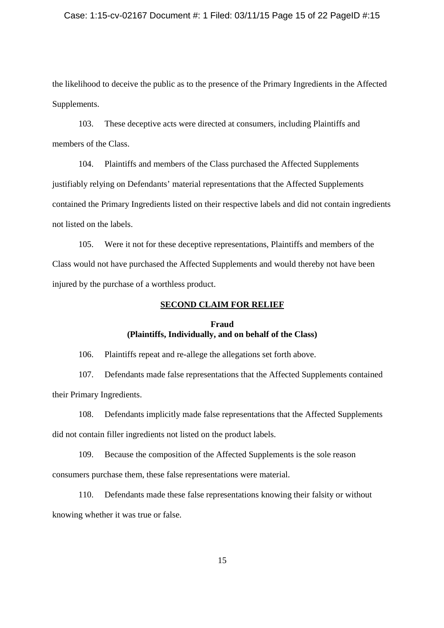#### Case: 1:15-cv-02167 Document #: 1 Filed: 03/11/15 Page 15 of 22 PageID #:15

the likelihood to deceive the public as to the presence of the Primary Ingredients in the Affected Supplements.

103. These deceptive acts were directed at consumers, including Plaintiffs and members of the Class.

104. Plaintiffs and members of the Class purchased the Affected Supplements justifiably relying on Defendants' material representations that the Affected Supplements contained the Primary Ingredients listed on their respective labels and did not contain ingredients not listed on the labels.

105. Were it not for these deceptive representations, Plaintiffs and members of the Class would not have purchased the Affected Supplements and would thereby not have been injured by the purchase of a worthless product.

## **SECOND CLAIM FOR RELIEF**

## **Fraud (Plaintiffs, Individually, and on behalf of the Class)**

106. Plaintiffs repeat and re-allege the allegations set forth above.

107. Defendants made false representations that the Affected Supplements contained their Primary Ingredients.

108. Defendants implicitly made false representations that the Affected Supplements did not contain filler ingredients not listed on the product labels.

109. Because the composition of the Affected Supplements is the sole reason consumers purchase them, these false representations were material.

110. Defendants made these false representations knowing their falsity or without knowing whether it was true or false.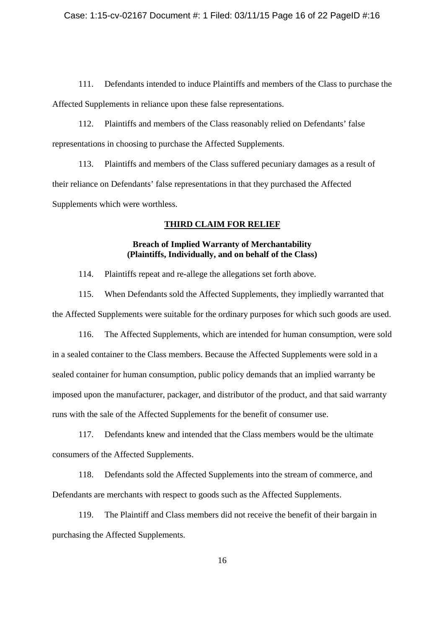111. Defendants intended to induce Plaintiffs and members of the Class to purchase the Affected Supplements in reliance upon these false representations.

112. Plaintiffs and members of the Class reasonably relied on Defendants' false representations in choosing to purchase the Affected Supplements.

113. Plaintiffs and members of the Class suffered pecuniary damages as a result of their reliance on Defendants' false representations in that they purchased the Affected Supplements which were worthless.

# **THIRD CLAIM FOR RELIEF**

## **Breach of Implied Warranty of Merchantability (Plaintiffs, Individually, and on behalf of the Class)**

114. Plaintiffs repeat and re-allege the allegations set forth above.

115. When Defendants sold the Affected Supplements, they impliedly warranted that the Affected Supplements were suitable for the ordinary purposes for which such goods are used.

116. The Affected Supplements, which are intended for human consumption, were sold in a sealed container to the Class members. Because the Affected Supplements were sold in a sealed container for human consumption, public policy demands that an implied warranty be imposed upon the manufacturer, packager, and distributor of the product, and that said warranty runs with the sale of the Affected Supplements for the benefit of consumer use.

117. Defendants knew and intended that the Class members would be the ultimate consumers of the Affected Supplements.

118. Defendants sold the Affected Supplements into the stream of commerce, and Defendants are merchants with respect to goods such as the Affected Supplements.

119. The Plaintiff and Class members did not receive the benefit of their bargain in purchasing the Affected Supplements.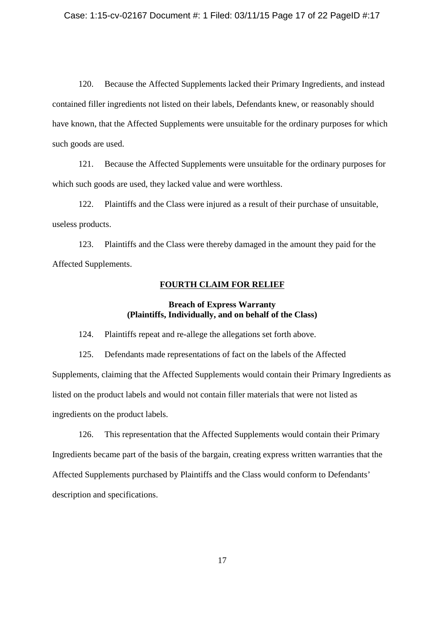## Case: 1:15-cv-02167 Document #: 1 Filed: 03/11/15 Page 17 of 22 PageID #:17

120. Because the Affected Supplements lacked their Primary Ingredients, and instead contained filler ingredients not listed on their labels, Defendants knew, or reasonably should have known, that the Affected Supplements were unsuitable for the ordinary purposes for which such goods are used.

121. Because the Affected Supplements were unsuitable for the ordinary purposes for which such goods are used, they lacked value and were worthless.

122. Plaintiffs and the Class were injured as a result of their purchase of unsuitable, useless products.

123. Plaintiffs and the Class were thereby damaged in the amount they paid for the Affected Supplements.

#### **FOURTH CLAIM FOR RELIEF**

# **Breach of Express Warranty (Plaintiffs, Individually, and on behalf of the Class)**

124. Plaintiffs repeat and re-allege the allegations set forth above.

125. Defendants made representations of fact on the labels of the Affected Supplements, claiming that the Affected Supplements would contain their Primary Ingredients as listed on the product labels and would not contain filler materials that were not listed as ingredients on the product labels.

126. This representation that the Affected Supplements would contain their Primary Ingredients became part of the basis of the bargain, creating express written warranties that the Affected Supplements purchased by Plaintiffs and the Class would conform to Defendants' description and specifications.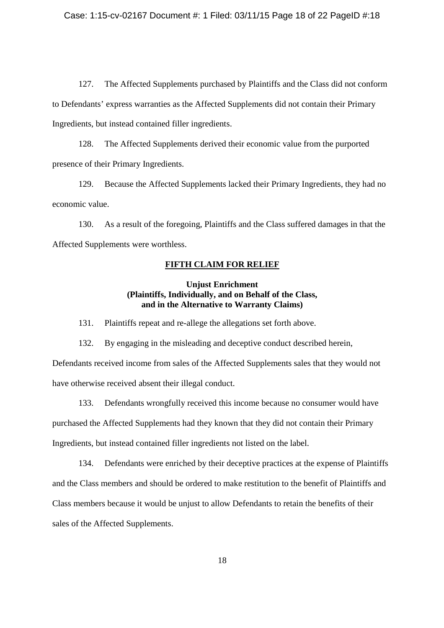127. The Affected Supplements purchased by Plaintiffs and the Class did not conform to Defendants' express warranties as the Affected Supplements did not contain their Primary Ingredients, but instead contained filler ingredients.

128. The Affected Supplements derived their economic value from the purported presence of their Primary Ingredients.

129. Because the Affected Supplements lacked their Primary Ingredients, they had no economic value.

130. As a result of the foregoing, Plaintiffs and the Class suffered damages in that the Affected Supplements were worthless.

## **FIFTH CLAIM FOR RELIEF**

## **Unjust Enrichment (Plaintiffs, Individually, and on Behalf of the Class, and in the Alternative to Warranty Claims)**

131. Plaintiffs repeat and re-allege the allegations set forth above.

132. By engaging in the misleading and deceptive conduct described herein, Defendants received income from sales of the Affected Supplements sales that they would not have otherwise received absent their illegal conduct.

133. Defendants wrongfully received this income because no consumer would have purchased the Affected Supplements had they known that they did not contain their Primary Ingredients, but instead contained filler ingredients not listed on the label.

134. Defendants were enriched by their deceptive practices at the expense of Plaintiffs and the Class members and should be ordered to make restitution to the benefit of Plaintiffs and Class members because it would be unjust to allow Defendants to retain the benefits of their sales of the Affected Supplements.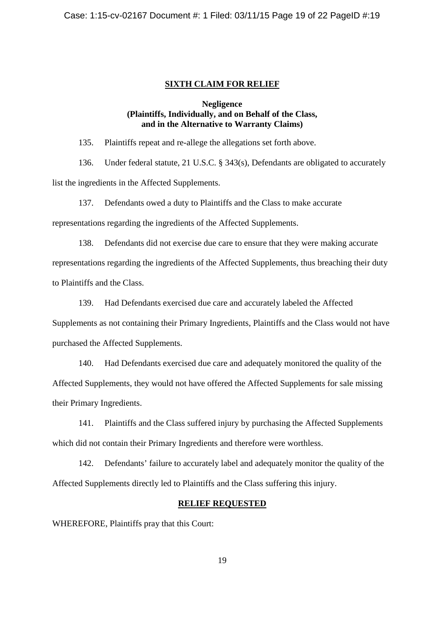#### **SIXTH CLAIM FOR RELIEF**

## **Negligence (Plaintiffs, Individually, and on Behalf of the Class, and in the Alternative to Warranty Claims)**

135. Plaintiffs repeat and re-allege the allegations set forth above.

136. Under federal statute, 21 U.S.C. § 343(s), Defendants are obligated to accurately list the ingredients in the Affected Supplements.

137. Defendants owed a duty to Plaintiffs and the Class to make accurate

representations regarding the ingredients of the Affected Supplements.

138. Defendants did not exercise due care to ensure that they were making accurate representations regarding the ingredients of the Affected Supplements, thus breaching their duty to Plaintiffs and the Class.

139. Had Defendants exercised due care and accurately labeled the Affected

Supplements as not containing their Primary Ingredients, Plaintiffs and the Class would not have purchased the Affected Supplements.

140. Had Defendants exercised due care and adequately monitored the quality of the Affected Supplements, they would not have offered the Affected Supplements for sale missing their Primary Ingredients.

141. Plaintiffs and the Class suffered injury by purchasing the Affected Supplements which did not contain their Primary Ingredients and therefore were worthless.

142. Defendants' failure to accurately label and adequately monitor the quality of the Affected Supplements directly led to Plaintiffs and the Class suffering this injury.

# **RELIEF REQUESTED**

WHEREFORE, Plaintiffs pray that this Court: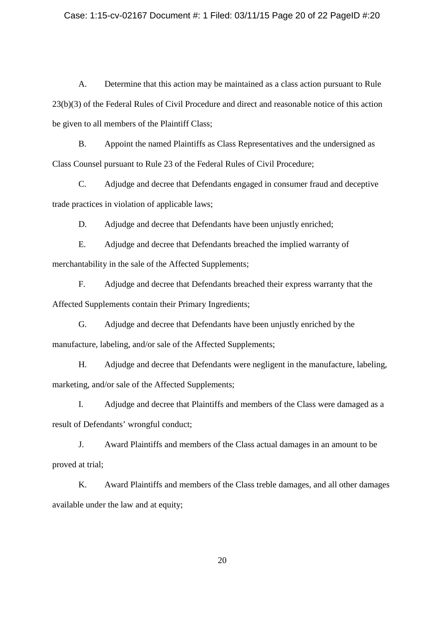## Case: 1:15-cv-02167 Document #: 1 Filed: 03/11/15 Page 20 of 22 PageID #:20

A. Determine that this action may be maintained as a class action pursuant to Rule 23(b)(3) of the Federal Rules of Civil Procedure and direct and reasonable notice of this action be given to all members of the Plaintiff Class;

B. Appoint the named Plaintiffs as Class Representatives and the undersigned as Class Counsel pursuant to Rule 23 of the Federal Rules of Civil Procedure;

C. Adjudge and decree that Defendants engaged in consumer fraud and deceptive trade practices in violation of applicable laws;

D. Adjudge and decree that Defendants have been unjustly enriched;

E. Adjudge and decree that Defendants breached the implied warranty of merchantability in the sale of the Affected Supplements;

F. Adjudge and decree that Defendants breached their express warranty that the Affected Supplements contain their Primary Ingredients;

G. Adjudge and decree that Defendants have been unjustly enriched by the manufacture, labeling, and/or sale of the Affected Supplements;

H. Adjudge and decree that Defendants were negligent in the manufacture, labeling, marketing, and/or sale of the Affected Supplements;

I. Adjudge and decree that Plaintiffs and members of the Class were damaged as a result of Defendants' wrongful conduct;

J. Award Plaintiffs and members of the Class actual damages in an amount to be proved at trial;

K. Award Plaintiffs and members of the Class treble damages, and all other damages available under the law and at equity;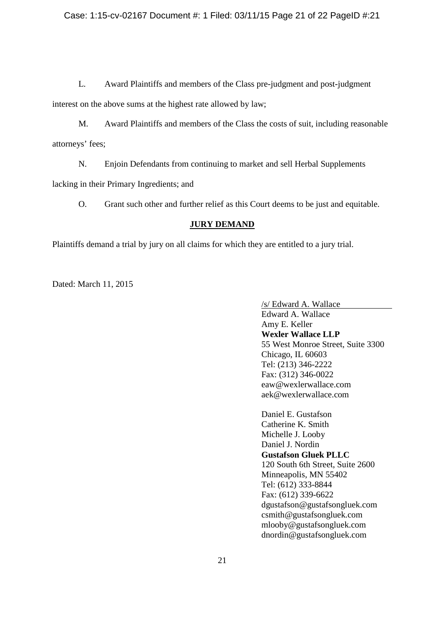L. Award Plaintiffs and members of the Class pre-judgment and post-judgment

interest on the above sums at the highest rate allowed by law;

M. Award Plaintiffs and members of the Class the costs of suit, including reasonable attorneys' fees;

N. Enjoin Defendants from continuing to market and sell Herbal Supplements

lacking in their Primary Ingredients; and

O. Grant such other and further relief as this Court deems to be just and equitable.

# **JURY DEMAND**

Plaintiffs demand a trial by jury on all claims for which they are entitled to a jury trial.

Dated: March 11, 2015

/s/ Edward A. Wallace Edward A. Wallace Amy E. Keller **Wexler Wallace LLP** 55 West Monroe Street, Suite 3300 Chicago, IL 60603 Tel: (213) 346-2222 Fax: (312) 346-0022 eaw@wexlerwallace.com aek@wexlerwallace.com

Daniel E. Gustafson Catherine K. Smith Michelle J. Looby Daniel J. Nordin **Gustafson Gluek PLLC** 120 South 6th Street, Suite 2600 Minneapolis, MN 55402 Tel: (612) 333-8844 Fax: (612) 339-6622 dgustafson@gustafsongluek.com csmith@gustafsongluek.com mlooby@gustafsongluek.com dnordin@gustafsongluek.com